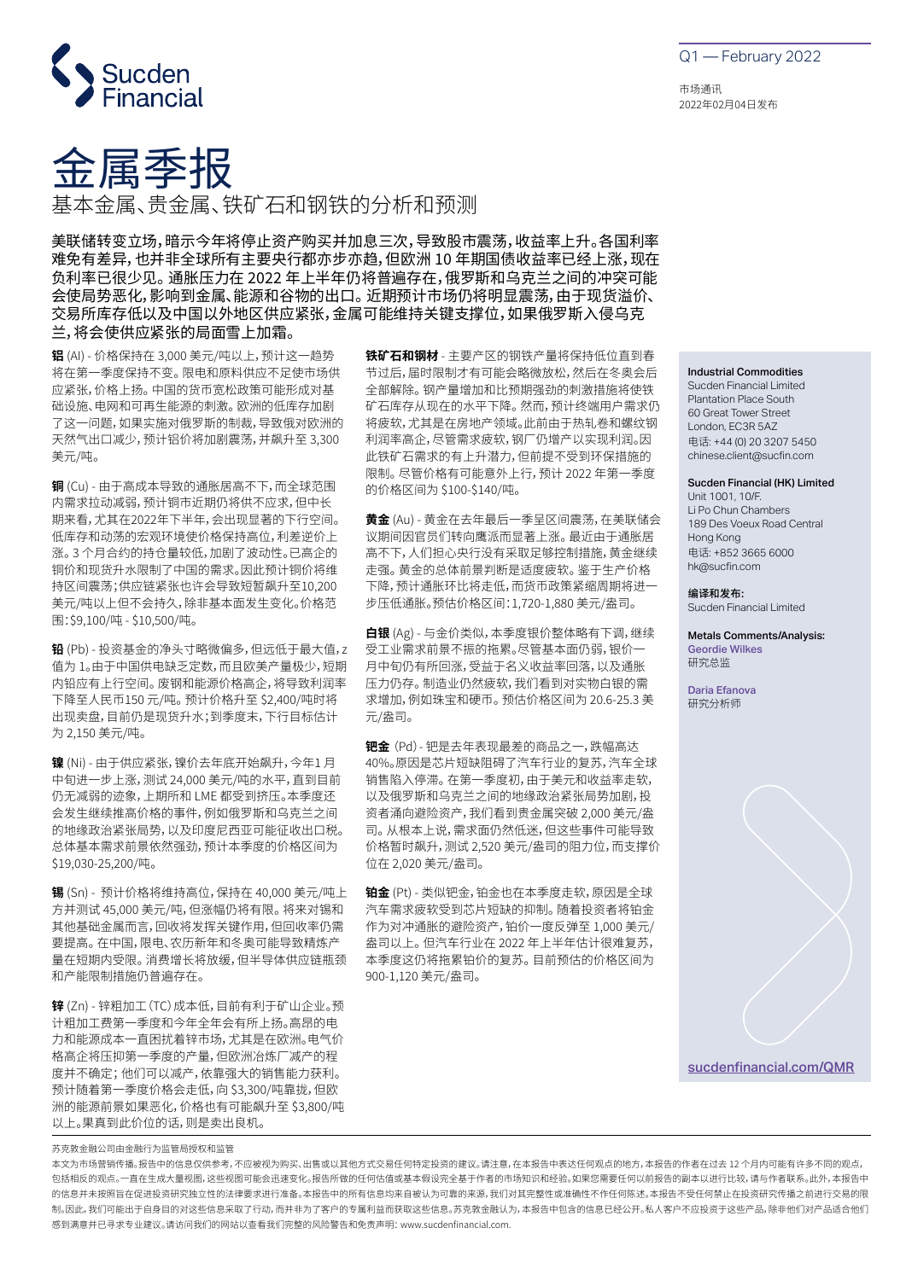

金属季报

基本金属、贵金属、铁矿石和钢铁的分析和预测

美联储转变立场,暗示今年将停止资产购买并加息三次,导致股市震荡,收益率上升。各国利率 难免有差异,也并非全球所有主要央行都亦步亦趋,但欧洲 10 年期国债收益率已经上涨,现在 负利率已很少见。 通胀压力在 2022 年上半年仍将普遍存在,俄罗斯和乌克兰之间的冲突可能 会使局势恶化,影响到金属、能源和谷物的出口。 近期预计市场仍将明显震荡,由于现货溢价、 交易所库存低以及中国以外地区供应紧张,金属可能维持关键支撑位,如果俄罗斯入侵乌克 兰,将会使供应紧张的局面雪上加霜。

**铝** (AI) - 价格保持在 3,000 美元/吨以上,预计这一趋势 将在第一季度保持不变。 限电和原料供应不足使市场供 应紧张,价格上扬。 中国的货币宽松政策可能形成对基 础设施、电网和可再生能源的刺激。 欧洲的低库存加剧 了这一问题,如果实施对俄罗斯的制裁,导致俄对欧洲的 天然气出口减少,预计铝价将加剧震荡,并飙升至 3,300 美元/吨。

**铜** (Cu) - 由于高成本导致的通胀居高不下,而全球范围 内需求拉动减弱,预计铜市近期仍将供不应求,但中长 期来看,尤其在2022年下半年,会出现显著的下行空间。 低库存和动荡的宏观环境使价格保持高位,利差逆价上 涨。 3 个月合约的持仓量较低,加剧了波动性。已高企的 铜价和现货升水限制了中国的需求。因此预计铜价将维 持区间震荡;供应链紧张也许会导致短暂飙升至10,200 美元/吨以上但不会持久,除非基本面发生变化。价格范 围:\$9,100/吨 - \$10,500/吨。

**铅** (Pb) - 投资基金的净头寸略微偏多,但远低于最大值,z 值为 1。由于中国供电缺乏定数,而且欧美产量极少,短期 内铅应有上行空间。 废钢和能源价格高企,将导致利润率 下降至人民币150 元/吨。 预计价格升至 \$2,400/吨时将 出现卖盘,目前仍是现货升水;到季度末,下行目标估计 为 2,150 美元/吨。

**镍** (Ni) - 由于供应紧张,镍价去年底开始飙升,今年1 月 中旬进一步上涨,测试 24,000 美元/吨的水平,直到目前 仍无减弱的迹象,上期所和 LME 都受到挤压。本季度还 会发生继续推高价格的事件,例如俄罗斯和乌克兰之间 的地缘政治紧张局势,以及印度尼西亚可能征收出口税。 总体基本需求前景依然强劲,预计本季度的价格区间为 \$19,030-25,200/吨。

**锡** (Sn) - 预计价格将维持高位,保持在 40,000 美元/吨上 方并测试 45,000 美元/吨,但涨幅仍将有限。 将来对锡和 其他基础金属而言,回收将发挥关键作用,但回收率仍需 要提高。 在中国,限电、农历新年和冬奥可能导致精炼产 量在短期内受限。 消费增长将放缓,但半导体供应链瓶颈 和产能限制措施仍普遍存在。

**锌** (Zn) - 锌粗加工(TC)成本低,目前有利于矿山企业。预 计粗加工费第一季度和今年全年会有所上扬。高昂的电 力和能源成本一直困扰着锌市场,尤其是在欧洲。电气价 格高企将压抑第一季度的产量,但欧洲冶炼厂减产的程 度并不确定; 他们可以减产,依靠强大的销售能力获利。 预计随着第一季度价格会走低,向 \$3,300/吨靠拢,但欧 洲的能源前景如果恶化,价格也有可能飙升至 \$3,800/吨 以上。果真到此价位的话,则是卖出良机。

**铁矿石和钢材** - 主要产区的钢铁产量将保持低位直到春 节过后,届时限制才有可能会略微放松,然后在冬奥会后 全部解除。 钢产量增加和比预期强劲的刺激措施将使铁 矿石库存从现在的水平下降。 然而,预计终端用户需求仍 将疲软,尤其是在房地产领域。此前由于热轧卷和螺纹钢 利润率高企,尽管需求疲软,钢厂仍增产以实现利润。因 此铁矿石需求的有上升潜力,但前提不受到环保措施的 限制。 尽管价格有可能意外上行,预计 2022 年第一季度 的价格区间为 \$100-\$140/吨。

**黄金** (Au) - 黄金在去年最后一季呈区间震荡,在美联储会 议期间因官员们转向鹰派而显著上涨。 最近由于通胀居 高不下,人们担心央行没有采取足够控制措施,黄金继续 走强。 黄金的总体前景判断是适度疲软。 鉴于生产价格 下降,预计通胀环比将走低,而货币政策紧缩周期将进一 步压低通胀。预估价格区间:1,720-1,880 美元/盎司。

**白银** (Ag) - 与金价类似,本季度银价整体略有下调,继续 受工业需求前景不振的拖累。尽管基本面仍弱,银价一 月中旬仍有所回涨,受益于名义收益率回落,以及通胀 压力仍存。 制造业仍然疲软,我们看到对实物白银的需 求增加,例如珠宝和硬币。 预估价格区间为 20.6-25.3 美 元/盎司。

**钯金** (Pd)- 钯是去年表现最差的商品之一,跌幅高达 40%。原因是芯片短缺阻碍了汽车行业的复苏,汽车全球 销售陷入停滞。 在第一季度初,由于美元和收益率走软, 以及俄罗斯和乌克兰之间的地缘政治紧张局势加剧,投 资者涌向避险资产,我们看到贵金属突破 2,000 美元/盎 司。 从根本上说,需求面仍然低迷,但这些事件可能导致 价格暂时飙升,测试 2,520 美元/盎司的阻力位,而支撑价 位在 2,020 美元/盎司。

**铂金** (Pt) - 类似钯金,铂金也在本季度走软,原因是全球 汽车需求疲软受到芯片短缺的抑制。 随着投资者将铂金 作为对冲通胀的避险资产,铂价一度反弹至 1,000 美元/ 盎司以上。 但汽车行业在 2022 年上半年估计很难复苏, 本季度这仍将拖累铂价的复苏。 目前预估的价格区间为 900-1,120 美元/盎司。

Q1 — February 2022

市场通讯 2022年02月04日发布

Industrial Commodities

Sucden Financial Limited Plantation Place South 60 Great Tower Street London, EC3R 5AZ 电话: +44 (0) 20 3207 5450 chinese.client@sucfin.com

Sucden Financial (HK) Limited

Unit 1001, 10/F. Li Po Chun Chambers 189 Des Voeux Road Central Hong Kong 电话: +852 3665 6000 hk@sucfin.com

编译和发布: Sucden Financial Limited

Metals Comments/Analysis: Geordie Wilkes 研究总监

Daria Efanova 研究分析师



[sucdenfinancial.com/QMR](https://www.sucdenfinancial.com/QMR)

苏克敦金融公司由金融行为监管局授权和监管

本文为市场营销传播。报告中的信息仅供参考,不应被视为购买、出售或以其他方式交易任何特定投资的建议。请注意,在本报告中表达任何观点的地方,本报告的作者在过去 12 个月内可能有许多不同的观点, 包括相反的观点。一直在生成大量视图,这些视图可能会迅速变化。报告所做的任何估值或基本假设完全基于作者的市场知识和经验。如果您需要任何以前报告的副本以进行比较,请与作者联系。此外,本报告中 的信息并未按照旨在促进投资研究独立性的法律要求进行准备。本报告中的所有信息均来自被认为可靠的来源,我们对其完整性或准确性不作任何陈述。本报告不受任何禁止在投资研究传播之前进行交易的限 制。因此,我们可能出于自身目的对这些信息采取了行动,而并非为了客户的专属利益而获取这些信息。苏克敦金融认为,本报告中包含的信息已经公开。私人客户不应投资于这些产品,除非他们对产品适合他们 感到满意并已寻求专业建议。请访问我们的网站以查看我们完整的风险警告和免责声明: www.sucdenfinancial.com.